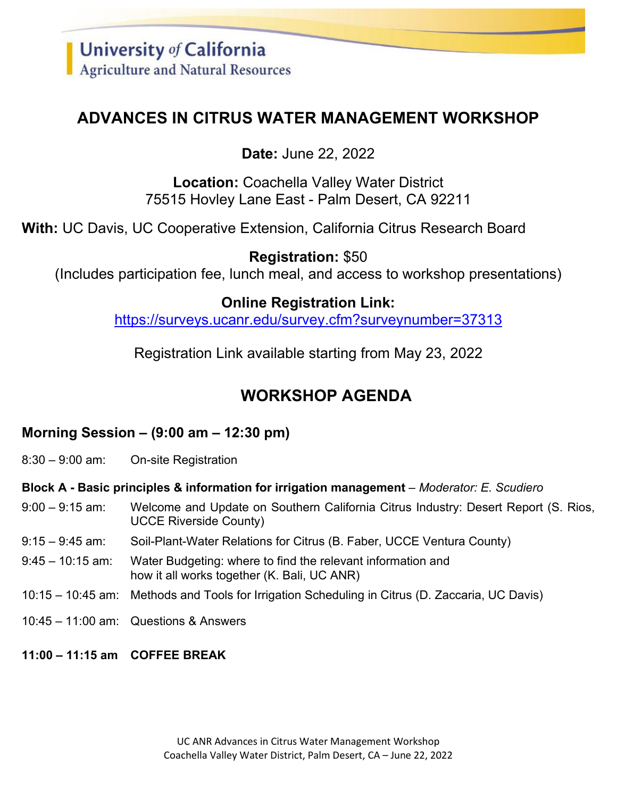## **ADVANCES IN CITRUS WATER MANAGEMENT WORKSHOP**

**Date:** June 22, 2022

**Location:** Coachella Valley Water District 75515 Hovley Lane East - Palm Desert, CA 92211

**With:** UC Davis, UC Cooperative Extension, California Citrus Research Board

**Registration:** \$50 (Includes participation fee, lunch meal, and access to workshop presentations)

## **Online Registration Link:**

<https://surveys.ucanr.edu/survey.cfm?surveynumber=37313>

Registration Link available starting from May 23, 2022

# **WORKSHOP AGENDA**

## **Morning Session – (9:00 am – 12:30 pm)**

8:30 – 9:00 am: On-site Registration

**Block A - Basic principles & information for irrigation management** – *Moderator: E. Scudiero* 

- 9:00 9:15 am: Welcome and Update on Southern California Citrus Industry: Desert Report (S. Rios, UCCE Riverside County)
- 9:15 9:45 am: Soil-Plant-Water Relations for Citrus (B. Faber, UCCE Ventura County)
- 9:45 10:15 am: Water Budgeting: where to find the relevant information and how it all works together (K. Bali, UC ANR)
- 10:15 10:45 am: Methods and Tools for Irrigation Scheduling in Citrus (D. Zaccaria, UC Davis)
- 10:45 11:00 am: Questions & Answers
- **11:00 – 11:15 am COFFEE BREAK**